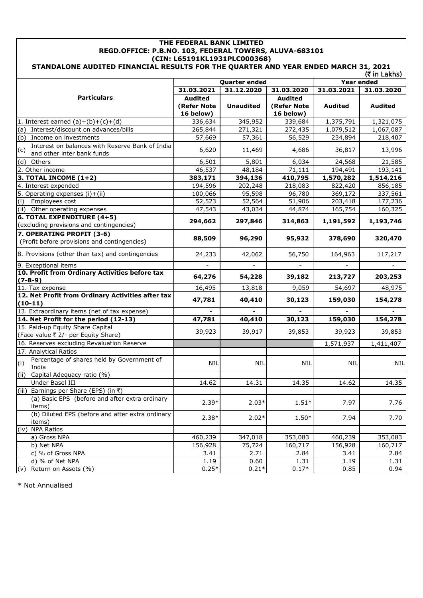## **THE FEDERAL BANK LIMITED REGD.OFFICE: P.B.NO. 103, FEDERAL TOWERS, ALUVA-683101 (CIN: L65191KL1931PLC000368) STANDALONE AUDITED FINANCIAL RESULTS FOR THE QUARTER AND YEAR ENDED MARCH 31, 2021**

| (₹ in Lakhs)                                                           |                |                      |                |                |                |
|------------------------------------------------------------------------|----------------|----------------------|----------------|----------------|----------------|
|                                                                        |                | <b>Quarter ended</b> |                | Year ended     |                |
|                                                                        | 31.03.2021     | 31.12.2020           | 31.03.2020     | 31.03.2021     | 31.03.2020     |
| <b>Particulars</b>                                                     | <b>Audited</b> |                      | <b>Audited</b> |                |                |
|                                                                        | (Refer Note    | <b>Unaudited</b>     | (Refer Note    | <b>Audited</b> | <b>Audited</b> |
|                                                                        | 16 below)      |                      | 16 below)      |                |                |
| 1. Interest earned $(a)+(b)+(c)+(d)$                                   | 336,634        | 345,952              | 339,684        | 1,375,791      | 1,321,075      |
| (a) Interest/discount on advances/bills                                | 265,844        | 271,321              | 272,435        | 1,079,512      | 1,067,087      |
| (b)<br>Income on investments                                           | 57,669         | 57,361               | 56,529         | 234,894        | 218,407        |
| Interest on balances with Reserve Bank of India<br>(c)                 | 6,620          | 11,469               | 4,686          | 36,817         | 13,996         |
| and other inter bank funds                                             |                |                      |                |                |                |
| (d)<br>Others                                                          | 6,501          | 5,801                | 6,034          | 24,568         | 21,585         |
| 2. Other income                                                        | 46,537         | 48,184               | 71,111         | 194,491        | 193,141        |
| 3. TOTAL INCOME (1+2)                                                  | 383,171        | 394,136              | 410,795        | 1,570,282      | 1,514,216      |
| 4. Interest expended                                                   | 194,596        | 202,248              | 218,083        | 822,420        | 856,185        |
| 5. Operating expenses $(i)+(ii)$                                       | 100,066        | 95,598               | 96,780         | 369,172        | 337,561        |
| (i)<br>Employees cost                                                  | 52,523         | 52,564               | 51,906         | 203,418        | 177,236        |
| (ii) Other operating expenses                                          | 47,543         | 43,034               | 44,874         | 165,754        | 160,325        |
| 6. TOTAL EXPENDITURE (4+5)<br>(excluding provisions and contingencies) | 294,662        | 297,846              | 314,863        | 1,191,592      | 1,193,746      |
| 7. OPERATING PROFIT (3-6)                                              |                |                      |                |                |                |
| (Profit before provisions and contingencies)                           | 88,509         | 96,290               | 95,932         | 378,690        | 320,470        |
| 8. Provisions (other than tax) and contingencies                       | 24,233         | 42,062               | 56,750         | 164,963        | 117,217        |
| 9. Exceptional items                                                   |                |                      |                |                |                |
| 10. Profit from Ordinary Activities before tax                         | 64,276         | 54,228               | 39,182         | 213,727        | 203,253        |
| $(7 - 8 - 9)$                                                          |                |                      |                |                |                |
| 11. Tax expense                                                        | 16,495         | 13,818               | 9,059          | 54,697         | 48,975         |
| 12. Net Profit from Ordinary Activities after tax<br>$(10-11)$         | 47,781         | 40,410               | 30,123         | 159,030        | 154,278        |
| 13. Extraordinary items (net of tax expense)                           |                |                      |                |                |                |
| 14. Net Profit for the period (12-13)                                  | 47,781         | 40,410               | 30,123         | 159,030        | 154,278        |
| 15. Paid-up Equity Share Capital                                       |                |                      |                |                |                |
| (Face value ₹ 2/- per Equity Share)                                    | 39,923         | 39,917               | 39,853         | 39,923         | 39,853         |
| 16. Reserves excluding Revaluation Reserve                             |                |                      |                | 1,571,937      | 1,411,407      |
| 17. Analytical Ratios                                                  |                |                      |                |                |                |
| Percentage of shares held by Government of                             |                |                      |                |                |                |
| (i)<br>India                                                           | <b>NIL</b>     | <b>NIL</b>           | NIL            | <b>NIL</b>     | <b>NIL</b>     |
| (ii)<br>Capital Adequacy ratio (%)                                     |                |                      |                |                |                |
| Under Basel III                                                        | 14.62          | 14.31                | 14.35          | 14.62          | 14.35          |
| (iii) Earnings per Share (EPS) (in ₹)                                  |                |                      |                |                |                |
| (a) Basic EPS (before and after extra ordinary                         |                |                      |                |                |                |
| items)                                                                 | $2.39*$        | $2.03*$              | $1.51*$        | 7.97           | 7.76           |
| (b) Diluted EPS (before and after extra ordinary                       | $2.38*$        |                      |                |                |                |
| items)                                                                 |                | $2.02*$              | $1.50*$        | 7.94           | 7.70           |
| <b>NPA Ratios</b><br>(iv)                                              |                |                      |                |                |                |
| a) Gross NPA                                                           | 460,239        | 347,018              | 353,083        | 460,239        | 353,083        |
| b) Net NPA                                                             | 156,928        | 75,724               | 160,717        | 156,928        | 160,717        |
| c) % of Gross NPA                                                      | 3.41           | 2.71                 | 2.84           | 3.41           | 2.84           |
| d) % of Net NPA                                                        | 1.19           | 0.60                 | 1.31           | 1.19           | 1.31           |
| Return on Assets (%)<br>(v)                                            | $0.25*$        | $0.21*$              | $0.17*$        | 0.85           | 0.94           |

\* Not Annualised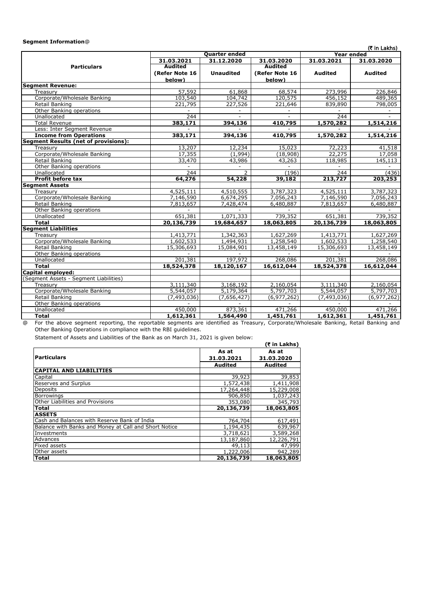### **Segment Information**@

|                                             |                |                         |                |                | (₹ in Lakhs)   |
|---------------------------------------------|----------------|-------------------------|----------------|----------------|----------------|
|                                             |                | <b>Quarter ended</b>    |                | Year ended     |                |
|                                             | 31.03.2021     | 31.12.2020              | 31.03.2020     | 31.03.2021     | 31.03.2020     |
| <b>Particulars</b>                          | Audited        |                         | <b>Audited</b> |                |                |
|                                             | (Refer Note 16 | <b>Unaudited</b>        | (Refer Note 16 | <b>Audited</b> | <b>Audited</b> |
|                                             | below)         |                         | below)         |                |                |
| <b>Segment Revenue:</b>                     |                |                         |                |                |                |
| Treasury                                    | 57,592         | 61,868                  | 68,574         | 273,996        | 226,846        |
| Corporate/Wholesale Banking                 | 103,540        | 104,742                 | 120,575        | 456,152        | 489,365        |
| Retail Banking                              | 221,795        | 227,526                 | 221,646        | 839,890        | 798,005        |
| Other Banking operations                    |                |                         |                |                |                |
| Unallocated                                 | 244            |                         |                | 244            |                |
| <b>Total Revenue</b>                        | 383,171        | 394,136                 | 410,795        | 1,570,282      | 1,514,216      |
| Less: Inter Segment Revenue                 |                |                         |                |                |                |
| <b>Income from Operations</b>               | 383,171        | 394,136                 | 410,795        | 1,570,282      | 1,514,216      |
| <b>Segment Results (net of provisions):</b> |                |                         |                |                |                |
| Treasury                                    | 13,207         | 12,234                  | 15,023         | 72,223         | 41,518         |
| Corporate/Wholesale Banking                 | 17,355         | (1,994)                 | (18,908)       | 22,275         | 17,058         |
| Retail Banking                              | 33,470         | 43,986                  | 43,263         | 118,985        | 145,113        |
| Other Banking operations                    |                | $\sim$                  |                |                |                |
| Unallocated                                 | 244            | $\overline{2}$          | (196)          | 244            | (436)          |
| <b>Profit before tax</b>                    | 64,276         | 54,228                  | 39,182         | 213,727        | 203,253        |
| <b>Segment Assets</b>                       |                |                         |                |                |                |
| Treasurv                                    | 4,525,111      | 4,510,555               | 3,787,323      | 4,525,111      | 3,787,323      |
| Corporate/Wholesale Banking                 | 7,146,590      | 6,674,295               | 7,056,243      | 7,146,590      | 7,056,243      |
| Retail Banking                              | 7,813,657      | 7,428,474               | 6,480,887      | 7,813,657      | 6,480,887      |
| Other Banking operations                    |                |                         |                |                |                |
| Unallocated                                 | 651,381        | 1,071,333               | 739,352        | 651,381        | 739,352        |
| <b>Total</b>                                | 20,136,739     | 19,684,657              | 18,063,805     | 20,136,739     | 18,063,805     |
| <b>Segment Liabilities</b>                  |                |                         |                |                |                |
| Treasury                                    | 1,413,771      | 1,342,363               | 1,627,269      | 1,413,771      | 1,627,269      |
| Corporate/Wholesale Banking                 | 1,602,533      | 1,494,931               | 1,258,540      | 1,602,533      | 1,258,540      |
| Retail Banking                              | 15,306,693     | 15,084,901              | 13,458,149     | 15,306,693     | 13,458,149     |
| Other Banking operations                    |                |                         |                |                |                |
| Unallocated                                 | 201,381        | 197,972                 | 268,086        | 201,381        | 268,086        |
| <b>Total</b>                                | 18,524,378     | $\overline{18,120,167}$ | 16,612,044     | 18,524,378     | 16,612,044     |
| Capital employed:                           |                |                         |                |                |                |
| (Segment Assets - Segment Liabilities)      |                |                         |                |                |                |
| Treasury                                    | 3,111,340      | 3,168,192               | 2,160,054      | 3,111,340      | 2,160,054      |
| Corporate/Wholesale Banking                 | 5,544,057      | 5,179,364               | 5,797,703      | 5,544,057      | 5,797,703      |
| Retail Banking                              | (7, 493, 036)  | (7,656,427)             | (6,977,262)    | (7, 493, 036)  | (6, 977, 262)  |
| Other Banking operations                    |                |                         |                |                |                |
| Unallocated                                 | 450,000        | 873,361                 | 471,266        | 450,000        | 471,266        |
| <b>Total</b>                                | 1,612,361      | 1,564,490               | 1,451,761      | 1,612,361      | 1,451,761      |

@ For the above segment reporting, the reportable segments are identified as Treasury, Corporate/Wholesale Banking, Retail Banking and Other Banking Operations in compliance with the RBI guidelines.

Statement of Assets and Liabilities of the Bank as on March 31, 2021 is given below:

| Statement of Assets and Liabilities of the Bank as on March 31, 2021 is given below: |                |                |  |  |  |
|--------------------------------------------------------------------------------------|----------------|----------------|--|--|--|
|                                                                                      |                | (₹ in Lakhs)   |  |  |  |
|                                                                                      | As at          | As at          |  |  |  |
| l Particulars                                                                        | 31.03.2021     | 31.03.2020     |  |  |  |
|                                                                                      | <b>Audited</b> | <b>Audited</b> |  |  |  |
| <b>CAPITAL AND LIABILITIES</b>                                                       |                |                |  |  |  |
| Capital                                                                              | 39,923         | 39,853         |  |  |  |
| <b>Reserves and Surplus</b>                                                          | 1,572,438      | 1,411,908      |  |  |  |
| <b>Deposits</b>                                                                      | 17,264,448     | 15,229,008     |  |  |  |
| Borrowings                                                                           | 906,850        | 1,037,243      |  |  |  |
| <b>Other Liabilities and Provisions</b>                                              | 353,080        | 345,793        |  |  |  |
| Total                                                                                | 20,136,739     | 18,063,805     |  |  |  |
| <b>ASSETS</b>                                                                        |                |                |  |  |  |
| Cash and Balances with Reserve Bank of India                                         | 764,704        | 617,491        |  |  |  |
| Balance with Banks and Money at Call and Short Notice                                | 1,194,435      | 639,967        |  |  |  |
| Investments                                                                          | 3,718,621      | 3,589,268      |  |  |  |
| Advances                                                                             | 13,187,860     | 12,226,791     |  |  |  |
| <b>Fixed assets</b>                                                                  | 49,113         | 47,999         |  |  |  |
| Other assets                                                                         | 1,222,006      | 942,289        |  |  |  |
| lTotal                                                                               | 20,136,739     | 18,063,805     |  |  |  |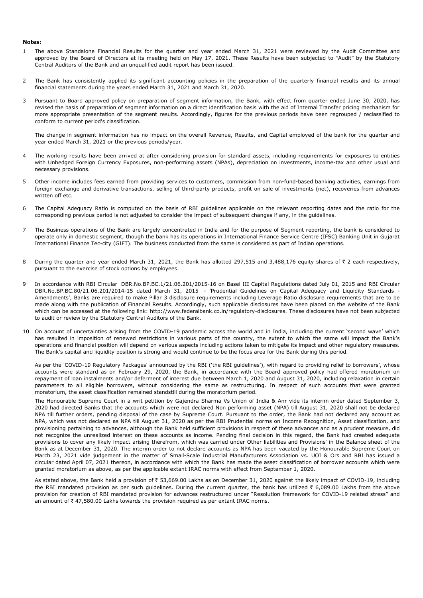#### **Notes:**

- 1 The above Standalone Financial Results for the quarter and year ended March 31, 2021 were reviewed by the Audit Committee and approved by the Board of Directors at its meeting held on May 17, 2021. These Results have been subjected to "Audit" by the Statutory Central Auditors of the Bank and an unqualified audit report has been issued.
- 2 The Bank has consistently applied its significant accounting policies in the preparation of the quarterly financial results and its annual financial statements during the years ended March 31, 2021 and March 31, 2020.
- 3 Pursuant to Board approved policy on preparation of segment information, the Bank, with effect from quarter ended June 30, 2020, has revised the basis of preparation of segment information on a direct identification basis with the aid of Internal Transfer pricing mechanism for more appropriate presentation of the segment results. Accordingly, figures for the previous periods have been regrouped / reclassified to conform to current period's classification.

The change in segment information has no impact on the overall Revenue, Results, and Capital employed of the bank for the quarter and year ended March 31, 2021 or the previous periods/year.

- 4 The working results have been arrived at after considering provision for standard assets, including requirements for exposures to entities with Unhedged Foreign Currency Exposures, non-performing assets (NPAs), depreciation on investments, income-tax and other usual and necessary provisions.
- 5 Other income includes fees earned from providing services to customers, commission from non-fund-based banking activities, earnings from foreign exchange and derivative transactions, selling of third-party products, profit on sale of investments (net), recoveries from advances written off etc.
- 6 The Capital Adequacy Ratio is computed on the basis of RBI guidelines applicable on the relevant reporting dates and the ratio for the corresponding previous period is not adjusted to consider the impact of subsequent changes if any, in the guidelines.
- 7 The Business operations of the Bank are largely concentrated in India and for the purpose of Segment reporting, the bank is considered to operate only in domestic segment, though the bank has its operations in International Finance Service Centre (IFSC) Banking Unit in Gujarat International Finance Tec-city (GIFT). The business conducted from the same is considered as part of Indian operations.
- 8 During the quarter and year ended March 31, 2021, the Bank has allotted 297,515 and 3,488,176 equity shares of  $\bar{\tau}$  2 each respectively, pursuant to the exercise of stock options by employees.
- 9 In accordance with RBI Circular DBR.No.BP.BC.1/21.06.201/2015-16 on Basel III Capital Regulations dated July 01, 2015 and RBI Circular DBR.No.BP.BC.80/21.06.201/2014-15 dated March 31, 2015 - 'Prudential Guidelines on Capital Adequacy and Liquidity Standards Amendments', Banks are required to make Pillar 3 disclosure requirements including Leverage Ratio disclosure requirements that are to be made along with the publication of Financial Results. Accordingly, such applicable disclosures have been placed on the website of the Bank which can be accessed at the following link: http://www.federalbank.co.in/regulatory-disclosures. These disclosures have not been subjected to audit or review by the Statutory Central Auditors of the Bank.
- 10 On account of uncertainties arising from the COVID-19 pandemic across the world and in India, including the current 'second wave' which has resulted in imposition of renewed restrictions in various parts of the country, the extent to which the same will impact the Bank's operations and financial position will depend on various aspects including actions taken to mitigate its impact and other regulatory measures. The Bank's capital and liquidity position is strong and would continue to be the focus area for the Bank during this period.

As per the 'COVID-19 Regulatory Packages' announced by the RBI ('the RBI guidelines'), with regard to providing relief to borrowers', whose accounts were standard as on February 29, 2020, the Bank, in accordance with the Board approved policy had offered moratorium on repayment of loan instalments and/or deferment of interest due between March 1, 2020 and August 31, 2020, including relaxation in certain parameters to all eligible borrowers, without considering the same as restructuring. In respect of such accounts that were granted moratorium, the asset classification remained standstill during the moratorium period.

The Honourable Supreme Court in a writ petition by Gajendra Sharma Vs Union of India & Anr vide its interim order dated September 3, 2020 had directed Banks that the accounts which were not declared Non performing asset (NPA) till August 31, 2020 shall not be declared NPA till further orders, pending disposal of the case by Supreme Court. Pursuant to the order, the Bank had not declared any account as NPA, which was not declared as NPA till August 31, 2020 as per the RBI Prudential norms on Income Recognition, Asset classification, and provisioning pertaining to advances, although the Bank held sufficient provisions in respect of these advances and as a prudent measure, did not recognize the unrealized interest on these accounts as income. Pending final decision in this regard, the Bank had created adequate provisions to cover any likely impact arising therefrom, which was carried under Other liabilities and Provisions' in the Balance sheet of the Bank as at December 31, 2020. The interim order to not declare accounts as NPA has been vacated by the Honourable Supreme Court on March 23, 2021 vide judgement in the matter of Small-Scale Industrial Manufacturers Association vs. UOI & Ors and RBI has issued a circular dated April 07, 2021 thereon, in accordance with which the Bank has made the asset classification of borrower accounts which were granted moratorium as above, as per the applicable extant IRAC norms with effect from September 1, 2020.

As stated above, the Bank held a provision of ₹ 53,669.00 Lakhs as on December 31, 2020 against the likely impact of COVID-19, including the RBI mandated provision as per such guidelines. During the current quarter, the bank has utilized  $\bar{\tau}$  6,089.00 Lakhs from the above provision for creation of RBI mandated provision for advances restructured under "Resolution framework for COVID-19 related stress" and an amount of  $\bar{\tau}$  47,580.00 Lakhs towards the provision required as per extant IRAC norms.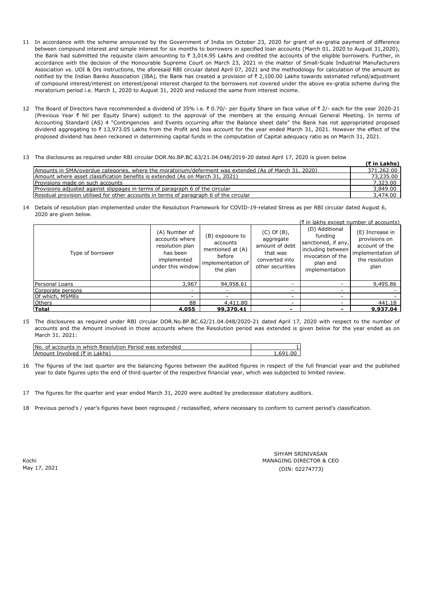- 11 In accordance with the scheme announced by the Government of India on October 23, 2020 for grant of ex-gratia payment of difference between compound interest and simple interest for six months to borrowers in specified loan accounts (March 01, 2020 to August 31,2020), the Bank had submitted the requisite claim amounting to  $\bar{\tau}$  3,014.95 Lakhs and credited the accounts of the eligible borrowers. Further, in accordance with the decision of the Honourable Supreme Court on March 23, 2021 in the matter of Small-Scale Industrial Manufacturers Association vs. UOI & Ors instructions, the aforesaid RBI circular dated April 07, 2021 and the methodology for calculation of the amount as notified by the Indian Banks Association (IBA), the Bank has created a provision of ₹ 2,100.00 Lakhs towards estimated refund/adjustment of compound interest/interest on interest/penal interest charged to the borrowers not covered under the above ex-gratia scheme during the moratorium period i.e. March 1, 2020 to August 31, 2020 and reduced the same from interest income.
- 12 The Board of Directors have recommended a dividend of 35% i.e. ₹ 0.70/- per Equity Share on face value of ₹ 2/- each for the year 2020-21 (Previous Year ₹ Nil per Equity Share) subject to the approval of the members at the ensuing Annual General Meeting. In terms of Accounting Standard (AS) 4 "Contingencies and Events occurring after the Balance sheet date" the Bank has not appropriated proposed dividend aggregating to  $\bar{\tau}$  13,973.05 Lakhs from the Profit and loss account for the year ended March 31, 2021. However the effect of the proposed dividend has been reckoned in determining capital funds in the computation of Capital adequacy ratio as on March 31, 2021.
- 13 The disclosures as required under RBI circular DOR.No.BP.BC.63/21.04.048/2019-20 dated April 17, 2020 is given below

| The disclosures as required ander not circular bonning.Br.bei.03/21.04070/2019 20 dated hpm 17, 2020 is given below |              |
|---------------------------------------------------------------------------------------------------------------------|--------------|
|                                                                                                                     | (₹ in Lakhs) |
| Amounts in SMA/overdue categories, where the moratorium/deferment was extended (As of March 31, 2020)               | 371,262.00   |
| Amount where asset classification benefits is extended (As on March 31, 2021)                                       | 73,235.00    |
| Provisions made on such accounts                                                                                    | 7,323.00     |
| Provisions adjusted against slippages in terms of paragraph 6 of the circular                                       | 3,849.00     |
| Residual provision utilised for other accounts in terms of paragraph 6 of the circular                              | 3,474.00     |

14 Details of resolution plan implemented under the Resolution Framework for COVID-19-related Stress as per RBI circular dated August 6, 2020 are given below.

|                   |                                                                                                    |                                                                                            |                                                                                                   | (₹ in lakhs except number of accounts)                                                                                   |                                                                                                   |
|-------------------|----------------------------------------------------------------------------------------------------|--------------------------------------------------------------------------------------------|---------------------------------------------------------------------------------------------------|--------------------------------------------------------------------------------------------------------------------------|---------------------------------------------------------------------------------------------------|
| Type of borrower  | (A) Number of<br>accounts where<br>resolution plan<br>has been<br>implemented<br>under this window | (B) exposure to<br>accounts<br>mentioned at (A)<br>before<br>implementation of<br>the plan | $(C)$ Of $(B)$ ,<br>aggregate<br>amount of debt<br>that was<br>converted into<br>other securities | (D) Additional<br>funding<br>sanctioned, if any,<br>including between<br>invocation of the<br>plan and<br>implementation | (E) Increase in<br>provisions on<br>account of the<br>implementation of<br>the resolution<br>plan |
| Personal Loans    | 3,967                                                                                              | 94,958.61                                                                                  |                                                                                                   |                                                                                                                          | 9,495.86                                                                                          |
| Corporate persons | -                                                                                                  |                                                                                            |                                                                                                   |                                                                                                                          |                                                                                                   |
| Of which, MSMEs   |                                                                                                    |                                                                                            |                                                                                                   |                                                                                                                          |                                                                                                   |
| <b>Others</b>     | 88                                                                                                 | 4,411.80                                                                                   |                                                                                                   |                                                                                                                          | 441.18                                                                                            |
| Total             | 4,055                                                                                              | 99,370.41                                                                                  | ۰                                                                                                 |                                                                                                                          | 9,937.04                                                                                          |

15 The disclosures as required under RBI circular DOR.No.BP.BC.62/21.04.048/2020-21 dated April 17, 2020 with respect to the number of accounts and the Amount involved in those accounts where the Resolution period was extended is given below for the year ended as on March 31, 2021:

| No. of accounts in which Resolution Period was extended |      |
|---------------------------------------------------------|------|
| Amount Involved (₹ in Lakhs)                            | -691 |

- 16 The figures of the last quarter are the balancing figures between the audited figures in respect of the full financial year and the published year to date figures upto the end of third quarter of the respective financial year, which was subjected to limited review.
- 17 The figures for the quarter and year ended March 31, 2020 were audited by predecessor statutory auditors.
- 18 Previous period's / year's figures have been regrouped / reclassified, where necessary to conform to current period's classification.

Kochi May 17, 2021 MANAGING DIRECTOR & CEO (DIN: 02274773) SHYAM SRINIVASAN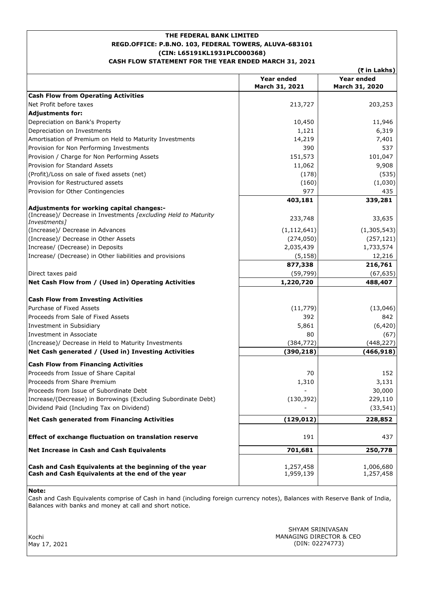# **REGD.OFFICE: P.B.NO. 103, FEDERAL TOWERS, ALUVA-683101 (CIN: L65191KL1931PLC000368) THE FEDERAL BANK LIMITED CASH FLOW STATEMENT FOR THE YEAR ENDED MARCH 31, 2021**

|                                                                                                            |                              | (₹ in Lakhs)                 |
|------------------------------------------------------------------------------------------------------------|------------------------------|------------------------------|
|                                                                                                            | Year ended<br>March 31, 2021 | Year ended<br>March 31, 2020 |
| <b>Cash Flow from Operating Activities</b>                                                                 |                              |                              |
| Net Profit before taxes                                                                                    | 213,727                      | 203,253                      |
| <b>Adiustments for:</b>                                                                                    |                              |                              |
| Depreciation on Bank's Property                                                                            | 10,450                       | 11,946                       |
| Depreciation on Investments                                                                                | 1,121                        | 6,319                        |
| Amortisation of Premium on Held to Maturity Investments                                                    | 14,219                       | 7,401                        |
| Provision for Non Performing Investments                                                                   | 390                          | 537                          |
| Provision / Charge for Non Performing Assets                                                               | 151,573                      | 101,047                      |
| Provision for Standard Assets                                                                              | 11,062                       | 9,908                        |
| (Profit)/Loss on sale of fixed assets (net)                                                                | (178)                        | (535)                        |
| Provision for Restructured assets                                                                          | (160)                        | (1,030)                      |
| Provision for Other Contingencies                                                                          | 977                          | 435                          |
|                                                                                                            | 403,181                      | 339,281                      |
| Adjustments for working capital changes:-                                                                  |                              |                              |
| (Increase)/ Decrease in Investments [excluding Held to Maturity<br>Investments <sub>1</sub>                | 233,748                      | 33,635                       |
| (Increase)/ Decrease in Advances                                                                           | (1, 112, 641)                | (1, 305, 543)                |
| (Increase)/ Decrease in Other Assets                                                                       | (274, 050)                   | (257, 121)                   |
| Increase/ (Decrease) in Deposits                                                                           | 2,035,439                    | 1,733,574                    |
| Increase/ (Decrease) in Other liabilities and provisions                                                   | (5, 158)                     | 12,216                       |
|                                                                                                            | 877,338                      | 216,761                      |
| Direct taxes paid                                                                                          | (59, 799)                    | (67, 635)                    |
| Net Cash Flow from / (Used in) Operating Activities                                                        | 1,220,720                    | 488,407                      |
| <b>Cash Flow from Investing Activities</b>                                                                 |                              |                              |
| Purchase of Fixed Assets                                                                                   | (11, 779)                    | (13,046)                     |
| Proceeds from Sale of Fixed Assets                                                                         | 392                          | 842                          |
| Investment in Subsidiary                                                                                   | 5,861                        | (6, 420)                     |
| Investment in Associate                                                                                    | 80                           | (67)                         |
| (Increase)/ Decrease in Held to Maturity Investments                                                       | (384, 772)                   | (448, 227)                   |
| Net Cash generated / (Used in) Investing Activities                                                        | (390, 218)                   | (466, 918)                   |
| <b>Cash Flow from Financing Activities</b>                                                                 |                              |                              |
| Proceeds from Issue of Share Capital                                                                       | 70                           | 152                          |
| Proceeds from Share Premium                                                                                | 1,310                        | 3,131                        |
| Proceeds from Issue of Subordinate Debt                                                                    |                              | 30,000                       |
| Increase/(Decrease) in Borrowings (Excluding Subordinate Debt)                                             | (130, 392)                   | 229,110                      |
| Dividend Paid (Including Tax on Dividend)                                                                  |                              | (33, 541)                    |
| <b>Net Cash generated from Financing Activities</b>                                                        | (129, 012)                   | 228,852                      |
| Effect of exchange fluctuation on translation reserve                                                      | 191                          | 437                          |
| Net Increase in Cash and Cash Equivalents                                                                  | 701,681                      | 250,778                      |
| Cash and Cash Equivalents at the beginning of the year<br>Cash and Cash Equivalents at the end of the year | 1,257,458<br>1,959,139       | 1,006,680<br>1,257,458       |

**Note:**

Cash and Cash Equivalents comprise of Cash in hand (including foreign currency notes), Balances with Reserve Bank of India, Balances with banks and money at call and short notice.

Kochi May 17, 2021 MANAGING DIRECTOR & CEO (DIN: 02274773) SHYAM SRINIVASAN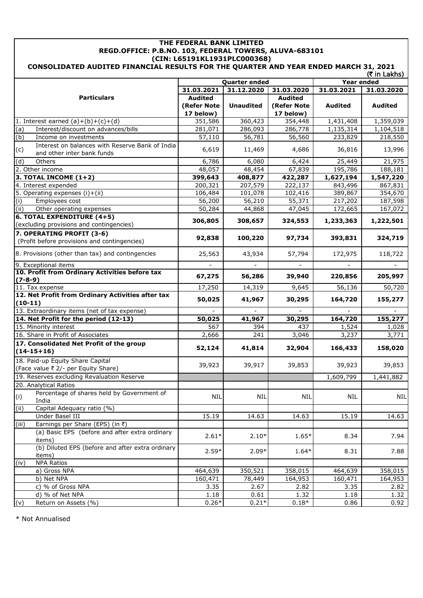## **THE FEDERAL BANK LIMITED REGD.OFFICE: P.B.NO. 103, FEDERAL TOWERS, ALUVA-683101 (CIN: L65191KL1931PLC000368) CONSOLIDATED AUDITED FINANCIAL RESULTS FOR THE QUARTER AND YEAR ENDED MARCH 31, 2021**

| (₹ in Lakhs)                                                                         |                |                      |                |                   |                |
|--------------------------------------------------------------------------------------|----------------|----------------------|----------------|-------------------|----------------|
|                                                                                      |                | <b>Quarter ended</b> |                | <b>Year ended</b> |                |
|                                                                                      | 31.03.2021     | 31.12.2020           | 31.03.2020     | 31.03.2021        | 31.03.2020     |
| <b>Particulars</b>                                                                   | <b>Audited</b> |                      | <b>Audited</b> |                   |                |
|                                                                                      | (Refer Note    | <b>Unaudited</b>     | (Refer Note    | <b>Audited</b>    | <b>Audited</b> |
|                                                                                      | 17 below)      |                      | 17 below)      |                   |                |
| 1. Interest earned $(a)+(b)+(c)+(d)$                                                 | 351,586        | 360,423              | 354,448        | 1,431,408         | 1,359,039      |
| (a)<br>Interest/discount on advances/bills                                           | 281,071        | 286,093              | 286,778        | 1,135,314         | 1,104,518      |
| (b)<br>Income on investments                                                         | 57,110         | 56,781               | 56,560         | 233,829           | 218,550        |
| Interest on balances with Reserve Bank of India<br>(c)<br>and other inter bank funds | 6,619          | 11,469               | 4,686          | 36,816            | 13,996         |
| (d)<br>Others                                                                        | 6,786          | 6,080                | 6,424          | 25,449            | 21,975         |
| 2. Other income                                                                      | 48,057         | 48,454               | 67,839         | 195,786           | 188,181        |
| 3. TOTAL INCOME $(1+2)$                                                              | 399,643        | 408,877              | 422,287        | 1,627,194         | 1,547,220      |
| 4. Interest expended                                                                 | 200,321        | 207,579              | 222,137        | 843,496           | 867,831        |
| 5. Operating expenses (i)+(ii)                                                       | 106,484        | 101,078              | 102,416        | 389,867           | 354,670        |
| (i)<br>Employees cost                                                                | 56,200         | 56,210               | 55,371         | 217,202           | 187,598        |
| (ii)<br>Other operating expenses                                                     | 50,284         | 44,868               | 47,045         | 172,665           | 167,072        |
| 6. TOTAL EXPENDITURE (4+5)                                                           |                |                      |                |                   |                |
| (excluding provisions and contingencies)                                             | 306,805        | 308,657              | 324,553        | 1,233,363         | 1,222,501      |
| 7. OPERATING PROFIT (3-6)                                                            |                |                      |                |                   |                |
| (Profit before provisions and contingencies)                                         | 92,838         | 100,220              | 97,734         | 393,831           | 324,719        |
| 8. Provisions (other than tax) and contingencies                                     | 25,563         | 43,934               | 57,794         | 172,975           | 118,722        |
| 9. Exceptional items                                                                 |                |                      |                |                   |                |
| 10. Profit from Ordinary Activities before tax                                       | 67,275         | 56,286               | 39,940         | 220,856           | 205,997        |
| $(7-8-9)$                                                                            |                |                      |                |                   |                |
| 11. Tax expense                                                                      | 17,250         | 14,319               | 9,645          | 56,136            | 50,720         |
| 12. Net Profit from Ordinary Activities after tax<br>$(10-11)$                       | 50,025         | 41,967               | 30,295         | 164,720           | 155,277        |
| 13. Extraordinary items (net of tax expense)                                         |                |                      |                |                   |                |
| 14. Net Profit for the period (12-13)                                                | 50,025         | 41,967               | 30,295         | 164,720           | 155,277        |
| 15. Minority interest                                                                | 567            | 394                  | 437            | 1,524             | 1,028          |
| 16. Share in Profit of Associates                                                    | 2,666          | 241                  | 3,046          | 3,237             | 3,771          |
| 17. Consolidated Net Profit of the group                                             |                |                      |                |                   |                |
| $(14-15+16)$                                                                         | 52,124         | 41,814               | 32,904         | 166,433           | 158,020        |
| 18. Paid-up Equity Share Capital                                                     |                |                      |                |                   |                |
| (Face value ₹ 2/- per Equity Share)                                                  | 39,923         | 39,917               | 39,853         | 39,923            | 39,853         |
| 19. Reserves excluding Revaluation Reserve                                           |                |                      |                | 1,609,799         | 1,441,882      |
| 20. Analytical Ratios                                                                |                |                      |                |                   |                |
| Percentage of shares held by Government of                                           |                |                      |                |                   |                |
| (i)<br>India                                                                         | <b>NIL</b>     | <b>NIL</b>           | <b>NIL</b>     | <b>NIL</b>        | <b>NIL</b>     |
| (i)<br>Capital Adequacy ratio (%)                                                    |                |                      |                |                   |                |
| Under Basel III                                                                      | 15.19          | 14.63                | 14.63          | 15.19             | 14.63          |
| (iii)<br>Earnings per Share (EPS) (in ₹)                                             |                |                      |                |                   |                |
| (a) Basic EPS (before and after extra ordinary                                       |                |                      |                |                   |                |
| items)                                                                               | $2.61*$        | $2.10*$              | $1.65*$        | 8.34              | 7.94           |
| (b) Diluted EPS (before and after extra ordinary                                     |                |                      |                |                   |                |
| items)                                                                               | $2.59*$        | $2.09*$              | $1.64*$        | 8.31              | 7.88           |
| <b>NPA Ratios</b><br>(iv)                                                            |                |                      |                |                   |                |
| a) Gross NPA                                                                         | 464,639        | 350,521              | 358,015        | 464,639           | 358,015        |
| b) Net NPA                                                                           | 160,471        | 78,449               | 164,953        | 160,471           | 164,953        |
| c) % of Gross NPA                                                                    | 3.35           | 2.67                 | 2.82           | 3.35              | 2.82           |
| d) % of Net NPA                                                                      | 1.18           | 0.61                 | 1.32           | 1.18              | 1.32           |
| (v)<br>Return on Assets (%)                                                          | $0.26*$        | $0.21*$              | $0.18*$        | 0.86              | 0.92           |
|                                                                                      |                |                      |                |                   |                |

\* Not Annualised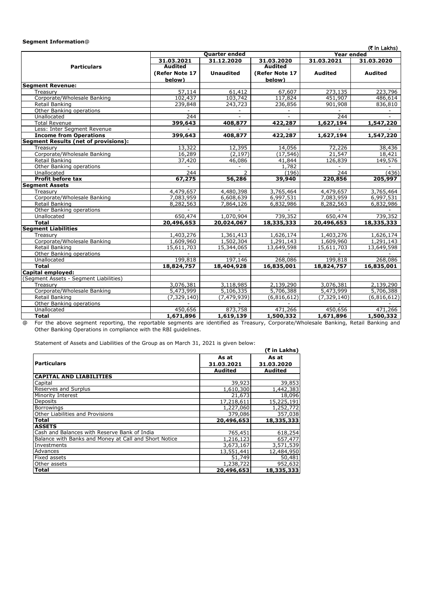### **Segment Information**@

| (₹ in Lakhs) |
|--------------|
|--------------|

|                                             |                | Quarter ended    |                | Year ended     | $($ $($ $($ $($ $($ $($ $($ $($ $($ $($ $($ $($ $($ $($ $($ $($ $($ $))))$ |
|---------------------------------------------|----------------|------------------|----------------|----------------|----------------------------------------------------------------------------|
|                                             | 31.03.2021     | 31.12.2020       | 31.03.2020     | 31.03.2021     | 31.03.2020                                                                 |
| <b>Particulars</b>                          | <b>Audited</b> |                  | <b>Audited</b> |                |                                                                            |
|                                             | (Refer Note 17 | <b>Unaudited</b> | (Refer Note 17 | <b>Audited</b> | <b>Audited</b>                                                             |
|                                             | below)         |                  | below)         |                |                                                                            |
| <b>Segment Revenue:</b>                     |                |                  |                |                |                                                                            |
| Treasury                                    | 57,114         | 61,412           | 67,607         | 273,135        | 223,796                                                                    |
| Corporate/Wholesale Banking                 | 102,437        | 103,742          | 117,824        | 451,907        | 486,614                                                                    |
| Retail Banking                              | 239,848        | 243,723          | 236,856        | 901,908        | 836,810                                                                    |
| Other Banking operations                    |                |                  |                |                |                                                                            |
| Unallocated                                 | 244            |                  |                | 244            |                                                                            |
| <b>Total Revenue</b>                        | 399,643        | 408,877          | 422,287        | 1,627,194      | 1,547,220                                                                  |
| Less: Inter Segment Revenue                 |                |                  | $\sim$         |                |                                                                            |
| <b>Income from Operations</b>               | 399,643        | 408,877          | 422,287        | 1,627,194      | 1,547,220                                                                  |
| <b>Segment Results (net of provisions):</b> |                |                  |                |                |                                                                            |
| Treasurv                                    | 13,322         | 12,395           | 14,056         | 72,226         | 38,436                                                                     |
| Corporate/Wholesale Banking                 | 16,289         | (2, 197)         | (17, 546)      | 21,547         | 18,421                                                                     |
| Retail Banking                              | 37,420         | 46,086           | 41,844         | 126,839        | 149,576                                                                    |
| Other Banking operations                    |                |                  | 1,782          |                |                                                                            |
| Unallocated                                 | 244            | 2                | (196)          | 244            | (436)                                                                      |
| <b>Profit before tax</b>                    | 67,275         | 56,286           | 39,940         | 220,856        | 205,997                                                                    |
| <b>Segment Assets</b>                       |                |                  |                |                |                                                                            |
| Treasurv                                    | 4,479,657      | 4,480,398        | 3,765,464      | 4,479,657      | 3,765,464                                                                  |
| Corporate/Wholesale Banking                 | 7,083,959      | 6,608,639        | 6,997,531      | 7,083,959      | 6,997,531                                                                  |
| Retail Banking                              | 8,282,563      | 7,864,126        | 6,832,986      | 8,282,563      | 6,832,986                                                                  |
| Other Banking operations                    |                |                  |                |                |                                                                            |
| Unallocated                                 | 650,474        | 1,070,904        | 739,352        | 650,474        | 739,352                                                                    |
| <b>Total</b>                                | 20,496,653     | 20,024,067       | 18,335,333     | 20,496,653     | 18,335,333                                                                 |
| <b>Segment Liabilities</b>                  |                |                  |                |                |                                                                            |
| Treasurv                                    | 1,403,276      | 1,361,413        | 1,626,174      | 1,403,276      | 1,626,174                                                                  |
| Corporate/Wholesale Banking                 | 1,609,960      | 1,502,304        | 1,291,143      | 1,609,960      | 1,291,143                                                                  |
| Retail Banking                              | 15,611,703     | 15,344,065       | 13,649,598     | 15,611,703     | 13,649,598                                                                 |
| Other Banking operations                    |                |                  |                |                |                                                                            |
| Unallocated                                 | 199,818        | 197,146          | 268,086        | 199,818        | 268,086                                                                    |
| <b>Total</b>                                | 18,824,757     | 18,404,928       | 16,835,001     | 18,824,757     | 16,835,001                                                                 |
| Capital employed:                           |                |                  |                |                |                                                                            |
| (Segment Assets - Segment Liabilities)      |                |                  |                |                |                                                                            |
| Treasurv                                    | 3,076,381      | 3,118,985        | 2,139,290      | 3,076,381      | 2,139,290                                                                  |
| Corporate/Wholesale Banking                 | 5,473,999      | 5,106,335        | 5,706,388      | 5,473,999      | 5,706,388                                                                  |
| Retail Banking                              | (7, 329, 140)  | (7, 479, 939)    | (6,816,612)    | (7, 329, 140)  | (6,816,612)                                                                |
| Other Banking operations                    |                |                  |                |                |                                                                            |
| Unallocated                                 | 450,656        | 873,758          | 471,266        | 450,656        | 471,266                                                                    |
| <b>Total</b>                                | 1,671,896      | 1,619,139        | 1,500,332      | 1,671,896      | 1,500,332                                                                  |

@ For the above segment reporting, the reportable segments are identified as Treasury, Corporate/Wholesale Banking, Retail Banking and Other Banking Operations in compliance with the RBI guidelines.

Statement of Assets and Liabilities of the Group as on March 31, 2021 is given below:

| bacoment or nobels and Elabinetes or the Group as on march 31, 2021 is given below. |                     | $(5$ in Lakhs)      |
|-------------------------------------------------------------------------------------|---------------------|---------------------|
| <b>Particulars</b>                                                                  | As at<br>31.03.2021 | As at<br>31.03.2020 |
|                                                                                     | Audited             | Audited             |
| <b>CAPITAL AND LIABILITIES</b>                                                      |                     |                     |
| Capital                                                                             | 39,923              | 39,853              |
| Reserves and Surplus                                                                | 1,610,300           | 1,442,383           |
| Minority Interest                                                                   | 21,673              | 18,096              |
| <b>Deposits</b>                                                                     | 17,218,611          | 15,225,191          |
| <b>Borrowings</b>                                                                   | 1,227,060           | 1,252,772           |
| Other Liabilities and Provisions                                                    | 379,086             | 357,038             |
| <b>Total</b>                                                                        | 20,496,653          | 18,335,333          |
| <b>ASSETS</b>                                                                       |                     |                     |
| Cash and Balances with Reserve Bank of India                                        | 765,451             | 618,254             |
| Balance with Banks and Money at Call and Short Notice                               | 1,216,123           | 657,477             |
| Investments                                                                         | 3,673,167           | 3,571,539           |
| Advances                                                                            | 13,551,441          | 12,484,950          |
| <b>Fixed assets</b>                                                                 | 51,749              | 50,481              |
| Other assets                                                                        | 1,238,722           | 952,632             |
| <b>Total</b>                                                                        | 20,496,653          | 18,335,333          |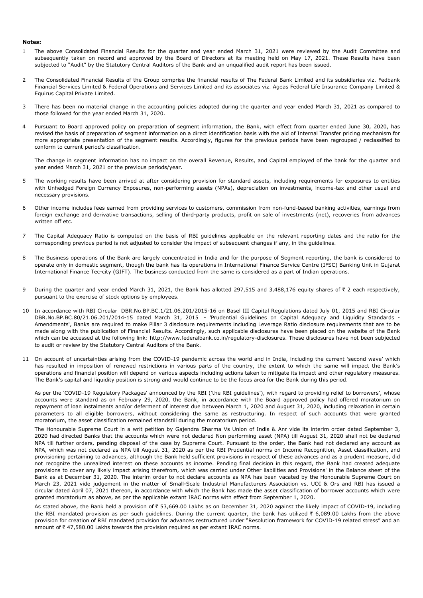#### **Notes:**

- 1 The above Consolidated Financial Results for the quarter and year ended March 31, 2021 were reviewed by the Audit Committee and subsequently taken on record and approved by the Board of Directors at its meeting held on May 17, 2021. These Results have been subjected to "Audit" by the Statutory Central Auditors of the Bank and an unqualified audit report has been issued.
- 2 The Consolidated Financial Results of the Group comprise the financial results of The Federal Bank Limited and its subsidiaries viz. Fedbank Financial Services Limited & Federal Operations and Services Limited and its associates viz. Ageas Federal Life Insurance Company Limited & Equirus Capital Private Limited.
- 3 There has been no material change in the accounting policies adopted during the quarter and year ended March 31, 2021 as compared to those followed for the year ended March 31, 2020.
- 4 Pursuant to Board approved policy on preparation of segment information, the Bank, with effect from quarter ended June 30, 2020, has revised the basis of preparation of segment information on a direct identification basis with the aid of Internal Transfer pricing mechanism for more appropriate presentation of the segment results. Accordingly, figures for the previous periods have been regrouped / reclassified to conform to current period's classification.

The change in segment information has no impact on the overall Revenue, Results, and Capital employed of the bank for the quarter and year ended March 31, 2021 or the previous periods/year.

- 5 The working results have been arrived at after considering provision for standard assets, including requirements for exposures to entities with Unhedged Foreign Currency Exposures, non-performing assets (NPAs), depreciation on investments, income-tax and other usual and necessary provisions.
- 6 Other income includes fees earned from providing services to customers, commission from non-fund-based banking activities, earnings from foreign exchange and derivative transactions, selling of third-party products, profit on sale of investments (net), recoveries from advances written off etc.
- 7 The Capital Adequacy Ratio is computed on the basis of RBI guidelines applicable on the relevant reporting dates and the ratio for the corresponding previous period is not adjusted to consider the impact of subsequent changes if any, in the guidelines.
- 8 The Business operations of the Bank are largely concentrated in India and for the purpose of Segment reporting, the bank is considered to operate only in domestic segment, though the bank has its operations in International Finance Service Centre (IFSC) Banking Unit in Gujarat International Finance Tec-city (GIFT). The business conducted from the same is considered as a part of Indian operations.
- 9 During the quarter and year ended March 31, 2021, the Bank has allotted 297,515 and 3,488,176 equity shares of  $\bar{\tau}$  2 each respectively, pursuant to the exercise of stock options by employees.
- 10 In accordance with RBI Circular DBR.No.BP.BC.1/21.06.201/2015-16 on Basel III Capital Regulations dated July 01, 2015 and RBI Circular DBR.No.BP.BC.80/21.06.201/2014-15 dated March 31, 2015 - 'Prudential Guidelines on Capital Adequacy and Liquidity Standards - Amendments', Banks are required to make Pillar 3 disclosure requirements including Leverage Ratio disclosure requirements that are to be made along with the publication of Financial Results. Accordingly, such applicable disclosures have been placed on the website of the Bank which can be accessed at the following link: http://www.federalbank.co.in/regulatory-disclosures. These disclosures have not been subjected to audit or review by the Statutory Central Auditors of the Bank.
- 11 On account of uncertainties arising from the COVID-19 pandemic across the world and in India, including the current 'second wave' which has resulted in imposition of renewed restrictions in various parts of the country, the extent to which the same will impact the Bank's operations and financial position will depend on various aspects including actions taken to mitigate its impact and other regulatory measures. The Bank's capital and liquidity position is strong and would continue to be the focus area for the Bank during this period.

As per the 'COVID-19 Regulatory Packages' announced by the RBI ('the RBI guidelines'), with regard to providing relief to borrowers', whose accounts were standard as on February 29, 2020, the Bank, in accordance with the Board approved policy had offered moratorium on repayment of loan instalments and/or deferment of interest due between March 1, 2020 and August 31, 2020, including relaxation in certain parameters to all eligible borrowers, without considering the same as restructuring. In respect of such accounts that were granted moratorium, the asset classification remained standstill during the moratorium period.

The Honourable Supreme Court in a writ petition by Gajendra Sharma Vs Union of India & Anr vide its interim order dated September 3, 2020 had directed Banks that the accounts which were not declared Non performing asset (NPA) till August 31, 2020 shall not be declared NPA till further orders, pending disposal of the case by Supreme Court. Pursuant to the order, the Bank had not declared any account as NPA, which was not declared as NPA till August 31, 2020 as per the RBI Prudential norms on Income Recognition, Asset classification, and provisioning pertaining to advances, although the Bank held sufficient provisions in respect of these advances and as a prudent measure, did not recognize the unrealized interest on these accounts as income. Pending final decision in this regard, the Bank had created adequate provisions to cover any likely impact arising therefrom, which was carried under Other liabilities and Provisions' in the Balance sheet of the Bank as at December 31, 2020. The interim order to not declare accounts as NPA has been vacated by the Honourable Supreme Court on March 23, 2021 vide judgement in the matter of Small-Scale Industrial Manufacturers Association vs. UOI & Ors and RBI has issued a circular dated April 07, 2021 thereon, in accordance with which the Bank has made the asset classification of borrower accounts which were granted moratorium as above, as per the applicable extant IRAC norms with effect from September 1, 2020.

As stated above, the Bank held a provision of ₹ 53,669.00 Lakhs as on December 31, 2020 against the likely impact of COVID-19, including the RBI mandated provision as per such guidelines. During the current quarter, the bank has utilized  $\bar{\tau}$  6,089.00 Lakhs from the above provision for creation of RBI mandated provision for advances restructured under "Resolution framework for COVID-19 related stress" and an amount of  $\bar{\tau}$  47,580.00 Lakhs towards the provision required as per extant IRAC norms.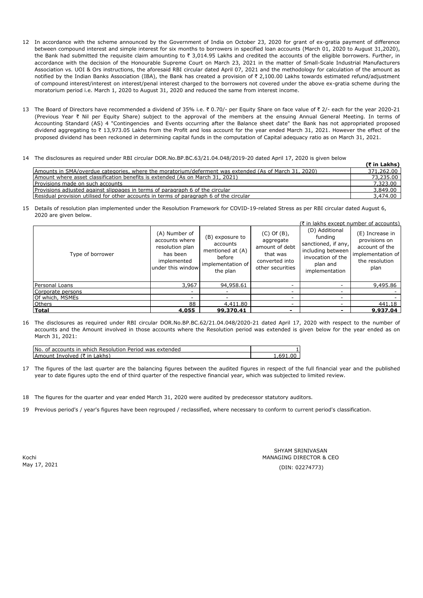- 12 In accordance with the scheme announced by the Government of India on October 23, 2020 for grant of ex-gratia payment of difference between compound interest and simple interest for six months to borrowers in specified loan accounts (March 01, 2020 to August 31,2020), the Bank had submitted the requisite claim amounting to  $\bar{\tau}$  3,014.95 Lakhs and credited the accounts of the eligible borrowers. Further, in accordance with the decision of the Honourable Supreme Court on March 23, 2021 in the matter of Small-Scale Industrial Manufacturers Association vs. UOI & Ors instructions, the aforesaid RBI circular dated April 07, 2021 and the methodology for calculation of the amount as notified by the Indian Banks Association (IBA), the Bank has created a provision of ₹ 2,100.00 Lakhs towards estimated refund/adjustment of compound interest/interest on interest/penal interest charged to the borrowers not covered under the above ex-gratia scheme during the moratorium period i.e. March 1, 2020 to August 31, 2020 and reduced the same from interest income.
- 13 The Board of Directors have recommended a dividend of 35% i.e. ₹0.70/- per Equity Share on face value of ₹2/- each for the year 2020-21 (Previous Year ` Nil per Equity Share) subject to the approval of the members at the ensuing Annual General Meeting. In terms of Accounting Standard (AS) 4 "Contingencies and Events occurring after the Balance sheet date" the Bank has not appropriated proposed dividend aggregating to ₹ 13,973.05 Lakhs from the Profit and loss account for the year ended March 31, 2021. However the effect of the proposed dividend has been reckoned in determining capital funds in the computation of Capital adequacy ratio as on March 31, 2021.
- 14 The disclosures as required under RBI circular DOR.No.BP.BC.63/21.04.048/2019-20 dated April 17, 2020 is given below

|                                                                                                       | (र in Lakhs) |
|-------------------------------------------------------------------------------------------------------|--------------|
| Amounts in SMA/overdue categories, where the moratorium/deferment was extended (As of March 31, 2020) | 371,262.00   |
| Amount where asset classification benefits is extended (As on March 31, 2021)                         | 73,235.00    |
| Provisions made on such accounts                                                                      | 7,323.00     |
| Provisions adjusted against slippages in terms of paragraph 6 of the circular                         | 3,849.00     |
| Residual provision utilised for other accounts in terms of paragraph 6 of the circular                | 3,474.00     |

15 Details of resolution plan implemented under the Resolution Framework for COVID-19-related Stress as per RBI circular dated August 6, 2020 are given below.

|                   |                                                                                                    |                                                                                            |                                                                                                   | (₹ in lakhs except number of accounts)                                                                                   |                                                                                                   |
|-------------------|----------------------------------------------------------------------------------------------------|--------------------------------------------------------------------------------------------|---------------------------------------------------------------------------------------------------|--------------------------------------------------------------------------------------------------------------------------|---------------------------------------------------------------------------------------------------|
| Type of borrower  | (A) Number of<br>accounts where<br>resolution plan<br>has been<br>implemented<br>under this window | (B) exposure to<br>accounts<br>mentioned at (A)<br>before<br>implementation of<br>the plan | $(C)$ Of $(B)$ ,<br>aggregate<br>amount of debt<br>that was<br>converted into<br>other securities | (D) Additional<br>funding<br>sanctioned, if any,<br>including between<br>invocation of the<br>plan and<br>implementation | (E) Increase in<br>provisions on<br>account of the<br>implementation of<br>the resolution<br>plan |
| Personal Loans    | 3,967                                                                                              | 94,958.61                                                                                  |                                                                                                   |                                                                                                                          | 9,495.86                                                                                          |
| Corporate persons | $\overline{\phantom{a}}$                                                                           |                                                                                            |                                                                                                   | $\overline{\phantom{0}}$                                                                                                 |                                                                                                   |
| Of which, MSMEs   | ۰                                                                                                  |                                                                                            |                                                                                                   |                                                                                                                          |                                                                                                   |
| Others            | 88                                                                                                 | 4,411.80                                                                                   | -                                                                                                 |                                                                                                                          | 441.18                                                                                            |
| Total             | 4,055                                                                                              | 99,370.41                                                                                  | $\,$                                                                                              |                                                                                                                          | 9,937.04                                                                                          |

16 The disclosures as required under RBI circular DOR.No.BP.BC.62/21.04.048/2020-21 dated April 17, 2020 with respect to the number of accounts and the Amount involved in those accounts where the Resolution period was extended is given below for the year ended as on March 31, 2021:

| No. of accounts in which Resolution Period was extended |  |
|---------------------------------------------------------|--|
|                                                         |  |
| Amount Involved (₹ in Lakhs)                            |  |

- 17 The figures of the last quarter are the balancing figures between the audited figures in respect of the full financial year and the published year to date figures upto the end of third quarter of the respective financial year, which was subjected to limited review.
- 18 The figures for the quarter and year ended March 31, 2020 were audited by predecessor statutory auditors.
- 19 Previous period's / year's figures have been regrouped / reclassified, where necessary to conform to current period's classification.

Kochi May 17, 2021 (DIN: 02274773)

SHYAM SRINIVASAN MANAGING DIRECTOR & CEO **(**` **in Lakhs)**